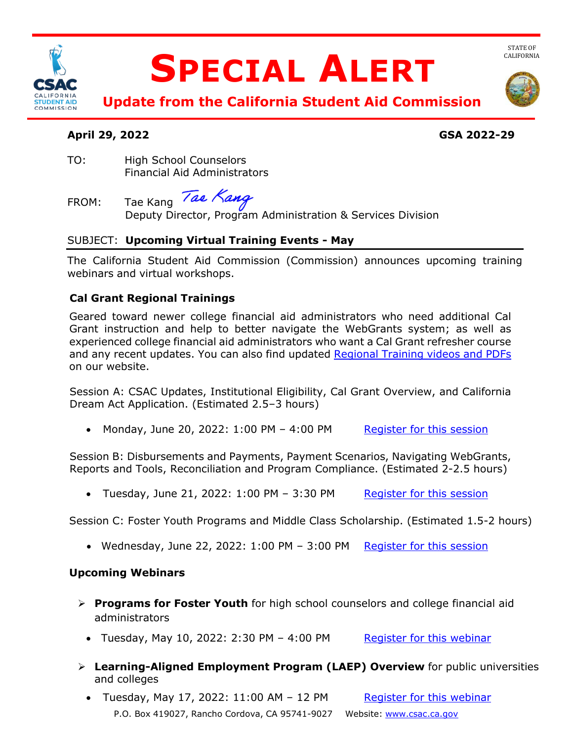

# **SPECIAL ALERT**



 **Update from the California Student Aid Commission** 

# **April 29, 2022 GSA 2022-29**

 Financial Aid Administrators TO: High School Counselors

FROM: Deputy Director, Program Administration & Services Division Tae Kang Tae Kang

# SUBJECT: **Upcoming Virtual Training Events - May**

 The California Student Aid Commission (Commission) announces upcoming training webinars and virtual workshops.

# **Cal Grant Regional Trainings**

and any recent updates. You can also find updated **Regional Training videos and PDFs** Geared toward newer college financial aid administrators who need additional Cal Grant instruction and help to better navigate the WebGrants system; as well as experienced college financial aid administrators who want a Cal Grant refresher course on our website.

Session A: CSAC Updates, Institutional Eligibility, Cal Grant Overview, and California Dream Act Application. (Estimated 2.5–3 hours)

• Monday, June 20, 2022: 1:00 PM - 4:00 PM Register for this session

Session B: Disbursements and Payments, Payment Scenarios, Navigating WebGrants, Reports and Tools, Reconciliation and Program Compliance. (Estimated 2-2.5 hours)

• Tuesday, June 21, 2022: 1:00 PM - 3:30 PM Register for this session

Session C: Foster Youth Programs and Middle Class Scholarship. (Estimated 1.5-2 hours)

• Wednesday, June 22, 2022: 1:00 PM - 3:00 PM Register for this session

# **Upcoming Webinars**

- **Programs for Foster Youth** for high school counselors and college financial aid administrators
	- Tuesday, May 10, 2022: 2:30 PM 4:00 PM Register for this webinar
- **Learning-Aligned Employment Program (LAEP) Overview** for public universities and colleges
	- Tuesday, May 17, 2022: 11:00 AM 12 PM Register for this webinar P.O. Box 419027, Rancho Cordova, CA 95741-9027 Website: www.csac.ca.gov